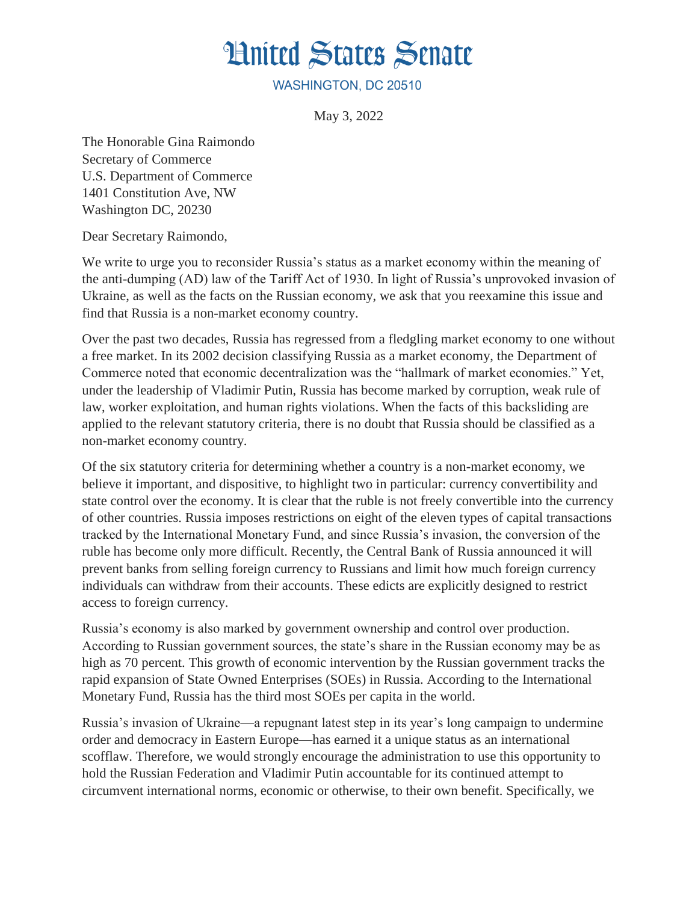## **Hnited States Senate**

WASHINGTON, DC 20510

May 3, 2022

The Honorable Gina Raimondo Secretary of Commerce U.S. Department of Commerce 1401 Constitution Ave, NW Washington DC, 20230

Dear Secretary Raimondo,

We write to urge you to reconsider Russia's status as a market economy within the meaning of the anti-dumping (AD) law of the Tariff Act of 1930. In light of Russia's unprovoked invasion of Ukraine, as well as the facts on the Russian economy, we ask that you reexamine this issue and find that Russia is a non-market economy country.

Over the past two decades, Russia has regressed from a fledgling market economy to one without a free market. In its 2002 decision classifying Russia as a market economy, the Department of Commerce noted that economic decentralization was the "hallmark of market economies." Yet, under the leadership of Vladimir Putin, Russia has become marked by corruption, weak rule of law, worker exploitation, and human rights violations. When the facts of this backsliding are applied to the relevant statutory criteria, there is no doubt that Russia should be classified as a non-market economy country.

Of the six statutory criteria for determining whether a country is a non-market economy, we believe it important, and dispositive, to highlight two in particular: currency convertibility and state control over the economy. It is clear that the ruble is not freely convertible into the currency of other countries. Russia imposes restrictions on eight of the eleven types of capital transactions tracked by the International Monetary Fund, and since Russia's invasion, the conversion of the ruble has become only more difficult. Recently, the Central Bank of Russia announced it will prevent banks from selling foreign currency to Russians and limit how much foreign currency individuals can withdraw from their accounts. These edicts are explicitly designed to restrict access to foreign currency.

Russia's economy is also marked by government ownership and control over production. According to Russian government sources, the state's share in the Russian economy may be as high as 70 percent. This growth of economic intervention by the Russian government tracks the rapid expansion of State Owned Enterprises (SOEs) in Russia. According to the International Monetary Fund, Russia has the third most SOEs per capita in the world.

Russia's invasion of Ukraine—a repugnant latest step in its year's long campaign to undermine order and democracy in Eastern Europe—has earned it a unique status as an international scofflaw. Therefore, we would strongly encourage the administration to use this opportunity to hold the Russian Federation and Vladimir Putin accountable for its continued attempt to circumvent international norms, economic or otherwise, to their own benefit. Specifically, we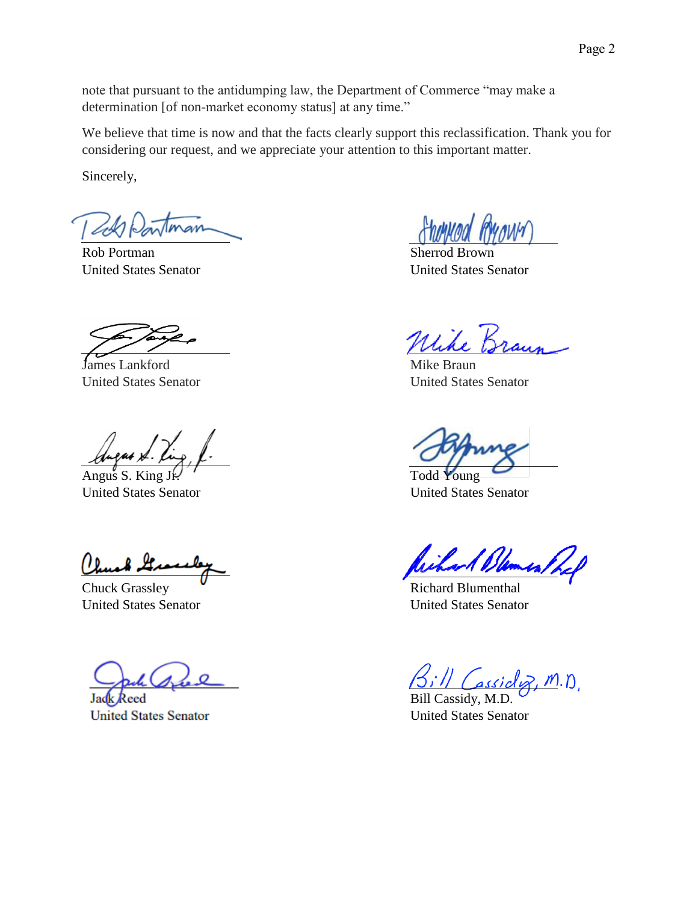note that pursuant to the antidumping law, the Department of Commerce "may make a determination [of non-market economy status] at any time."

We believe that time is now and that the facts clearly support this reclassification. Thank you for considering our request, and we appreciate your attention to this important matter.

Sincerely,

Rob Portman Sherrod Brown

**James Lankford** Mike Braun United States Senator United States Senator

Angus S. King Jr. Todd Young United States Senator United States Senator

(length It

Chuck Grassley **Richard Blumenthal** United States Senator United States Senator

leed Jac **United States Senator** 

MANY

United States Senator United States Senator

Wilson Dames

assicly, M.D.

Bill Cassidy, M.D. United States Senator